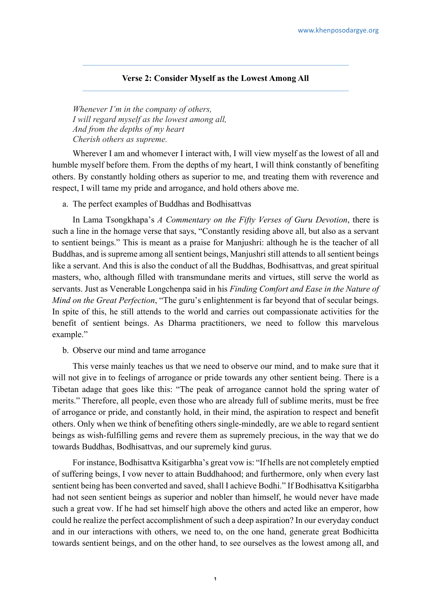## **Verse 2: Consider Myself as the Lowest Among All**

*Whenever I'm in the company of others, I will regard myself as the lowest among all, And from the depths of my heart Cherish others as supreme.*

Wherever I am and whomever I interact with, I will view myself as the lowest of all and humble myself before them. From the depths of my heart, I will think constantly of benefiting others. By constantly holding others as superior to me, and treating them with reverence and respect, I will tame my pride and arrogance, and hold others above me.

## a. The perfect examples of Buddhas and Bodhisattvas

In Lama Tsongkhapa's *A Commentary on the Fifty Verses of Guru Devotion*, there is such a line in the homage verse that says, "Constantly residing above all, but also as a servant to sentient beings." This is meant as a praise for Manjushri: although he is the teacher of all Buddhas, and is supreme among all sentient beings, Manjushri still attends to all sentient beings like a servant. And this is also the conduct of all the Buddhas, Bodhisattvas, and great spiritual masters, who, although filled with transmundane merits and virtues, still serve the world as servants. Just as Venerable Longchenpa said in his *Finding Comfort and Ease in the Nature of Mind on the Great Perfection*, "The guru's enlightenment is far beyond that of secular beings. In spite of this, he still attends to the world and carries out compassionate activities for the benefit of sentient beings. As Dharma practitioners, we need to follow this marvelous example."

b. Observe our mind and tame arrogance

This verse mainly teaches us that we need to observe our mind, and to make sure that it will not give in to feelings of arrogance or pride towards any other sentient being. There is a Tibetan adage that goes like this: "The peak of arrogance cannot hold the spring water of merits." Therefore, all people, even those who are already full of sublime merits, must be free of arrogance or pride, and constantly hold, in their mind, the aspiration to respect and benefit others. Only when we think of benefiting others single-mindedly, are we able to regard sentient beings as wish-fulfilling gems and revere them as supremely precious, in the way that we do towards Buddhas, Bodhisattvas, and our supremely kind gurus.

For instance, Bodhisattva Ksitigarbha's great vow is: "If hells are not completely emptied of suffering beings, I vow never to attain Buddhahood; and furthermore, only when every last sentient being has been converted and saved, shall I achieve Bodhi." If Bodhisattva Ksitigarbha had not seen sentient beings as superior and nobler than himself, he would never have made such a great vow. If he had set himself high above the others and acted like an emperor, how could he realize the perfect accomplishment of such a deep aspiration? In our everyday conduct and in our interactions with others, we need to, on the one hand, generate great Bodhicitta towards sentient beings, and on the other hand, to see ourselves as the lowest among all, and